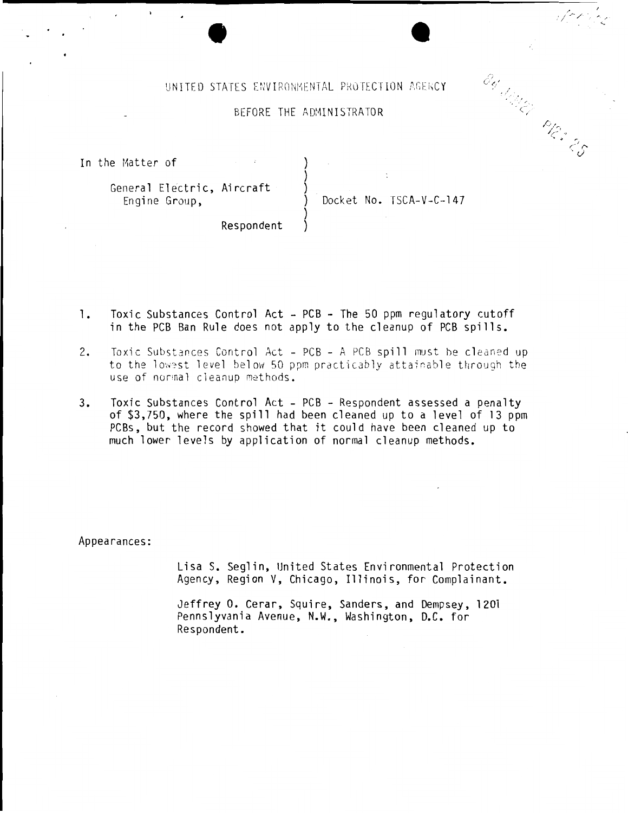## UNITED STATES ENVIRONMENTAL PROTECTION AGENCY

#### BEFORE THE ADMINISTRATOR

In the Matter of

# General Electric, Aircraft Engine Group.

Docket No. TSCA-V-C-147

 $\mathscr{E}_{\mathscr{C}_{\mathscr{A}}^{\prime}}$ 

March 25

Respondent

- Toxic Substances Control Act PCB The 50 ppm requlatory cutoff 1. in the PCB Ban Rule does not apply to the cleanup of PCB spills.
- $2.$ Toxic Substances Control Act - PCB - A PCB spill must be cleaned up to the lowest level below 50 ppm practicably attainable through the use of normal cleanup methods.
- $3.$ Toxic Substances Control Act - PCB - Respondent assessed a penalty of \$3,750, where the spill had been cleaned up to a level of 13 ppm PCBs, but the record showed that it could have been cleaned up to much lower levels by application of normal cleanup methods.

Appearances:

Lisa S. Seglin, United States Environmental Protection Agency, Region V, Chicago, Illinois, for Complainant.

Jeffrey O. Cerar, Squire, Sanders, and Dempsey, 1201 Pennslyvania Avenue, N.W., Washington, D.C. for Respondent.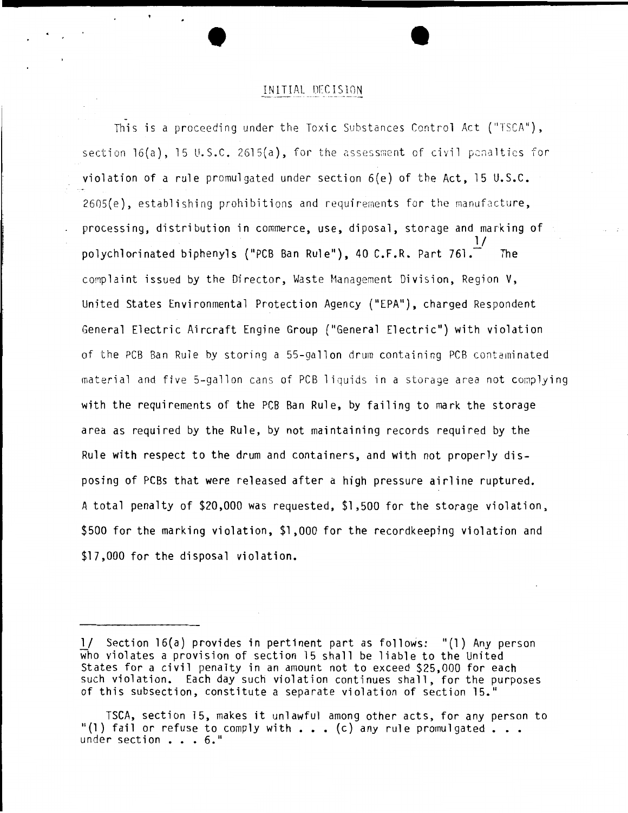### INITIAL D[CIS10N

This is a proceeding under the Toxic Substances Control Act ("TSCA"), section  $16(a)$ , 15 U.S.C. 2615 $(a)$ , for the assessment of civil penalties for violation of a rule promulgated under section 6(e) of the Act, 15 U.S.C. 2605(e), establishing prohibitions and requirements for the manufacture, processing, distribution in commerce, use, diposal, storage and marking of  $\frac{1}{2}$ polychlorinated biphenyls ("PCB Ban Rule"), 40 C.F.R. Part 761. complaint issued by the Director, Waste Management Division, Region V, United States Environmental Protection Agency {"EPA"), charged Respondent General Electric Aircraft Engine Group ("General Electric") with violation of the PCB Ban Rule by storing a 55-gallon drum containing PCB contaminated material and five 5-gallon cans of PCB liquids in a storage area not complying with the requirements of the PCB Ban Rule, by failing to mark the storage area as required by the Rule, by not maintaining records required by the Rule with respect to the drum and containers, and with not properly disposing of PCBs that were released after a high pressure airline ruptured. A total penalty of \$20,000 was requested, \$1,500 for the storage violation, \$500 for the marking violation, \$1,000 for the recordkeeping violation and \$17,000 for the disposal violation.

l/ Section 16(a) provides in pertinent part as follows: "(1) Any person who violates a provision of section 15 shall be liable to the United States for a civil penalty in an amount not to exceed \$25,000 for each such violation. Each day such violation continues shall, for the purposes of this subsection, constitute a separate violation of section 15."

TSCA, section 15, makes it unlawful among other acts, for any person to "(1) fail or refuse to comply with  $\ldots$  (c) any rule promulgated  $\ldots$ under section . . . 6."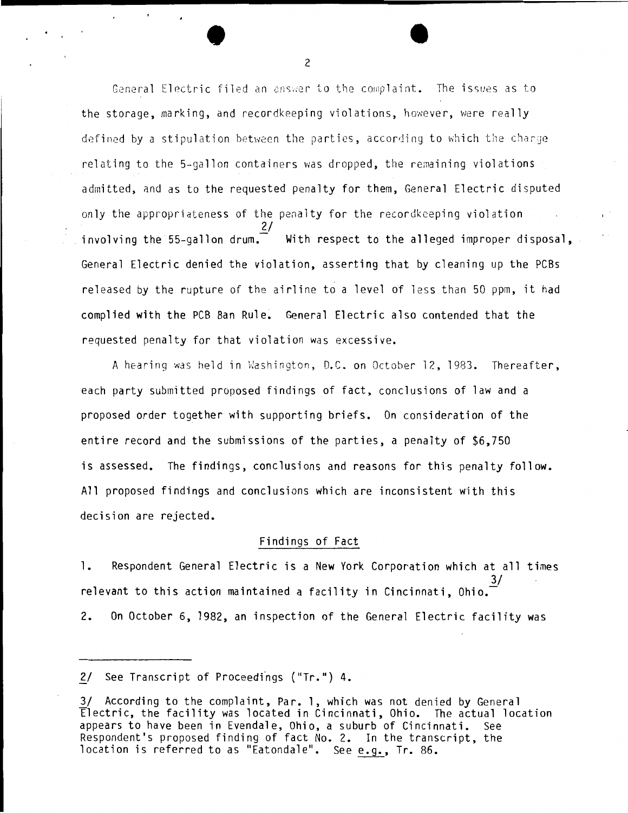General Electric filed an answer to the complaint. The issues as to the storage, marking, and recordkeeping violations, however, were really defined by a stipulation between the parties, according to which the charge relating to the 5-gallon containers was dropped, the remaining violations admitted, and as to the requested penalty for them, General Electric disputed only the appropriateness of the penalty for the recordkeeping violation involving the 55-gallon drum.  $\frac{27}{100}$  With respect to the alleged improper disposal. General Electric denied the violation, asserting that by cleaning up the PCBs released by the rupture of the airline to a level of less than 50 ppm, it had complied with the PCB Ban Rule. General Electric also contended that the requested penalty for that violation was excessive.

A hearing was held in Washington, D.C. on October 12, 1983. Thereafter, each party submitted proposed findings of fact, conclusions of law and a proposed order together with supporting briefs. On consideration of the entire record and the submissions of the parties, a penalty of \$6,750 is assessed. The findings, conclusions and reasons for this penalty follow. All proposed findings and conclusions which are inconsistent with this decision are rejected.

#### Findings of Fact

1. Respondent General Electric is a New York Corporation which at all times  $\frac{3}{ }$ relevant to this action maintained a facility in Cincinnati, Ohio. $\overline{\phantom{a}}$ 2. On October 6, 1982, an inspection of the General Electric facility was

 $\bullet$   $\bullet$   $\bullet$ 

<sup>2/</sup> See Transcript of Proceedings ("Tr.") 4.

<sup>3/</sup> According to the complaint, Par. 1, which was not denied by General Electric, the facility was located in Cincinnati, Ohio. The actual location appears to have been in Evendale, Ohio, a suburb of Cincinnati. See Respondent's proposed finding of fact No. 2. In the transcript, the location is referred to as "Eatondale". See e.g., Tr. 86.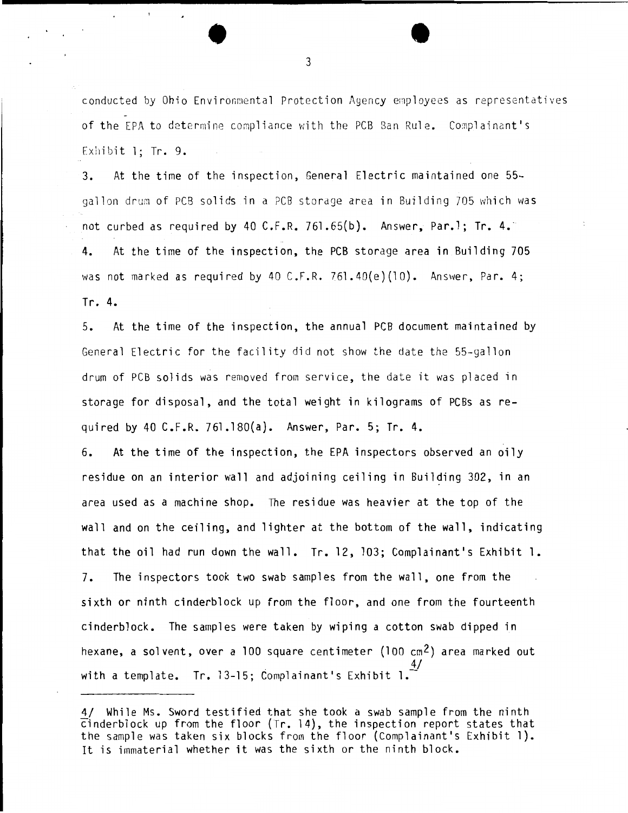conducted by Ohio Environmental Protection Agency employees as representatives of the EPA to determine compliance with the PCB Ban Rule. Complainant's Exhibit  $l$ : Tr. 9.

3. At the time of the inspection, General Electric maintained one 55 gallon drum of PCB solids in a PCB storage area in Building 705 which was not curbed as required by 40  $C.F.R. 761.65(b)$ . Answer, Par.1; Tr. 4. 4. At the time of the inspection, the PCB storage area in Building 705 was not marked as required by 40 C.F.R. 761.40(e)(10). Answer, Par. 4; Tr. 4.

5. At the time of the inspection, the annual PCB document maintained by General Electric for the facility did not show the date the 55-gallon drum of PCB solids was removed from service, the date it was placed in storage for disposal, and the total weight in kilograms of PCBs as required by 40 C.F.R. 761.180(a). Answer, Par. 5; Tr. 4.

6. At the time of the inspection, the EPA inspectors observed an oily residue on an interior wall and adjoining ceiling in Building 302, in an area used as a machine shop. The residue was heavier at the top of the wall and on the ceiling, and lighter at the bottom of the wall, indicating that the oil had run down the wall. Tr. 12, 103; Complainant's Exhibit 1. 7. The inspectors took two swab samples from the wall, one from the sixth or ninth cinderblock up from the floor, and one from the fourteenth cinderblock. The samples were taken by wiping a cotton swab dipped in hexane, a solvent, over a 100 square centimeter (100 cm2) area marked out  $4/$ with a template. Tr. 13-15; Complainant's Exhibit 1.

 $\bullet$   $\bullet$   $\bullet$ 

<sup>4/</sup> While Ms. Sword testified that she took a swab sample from the ninth cinderblock up from the floor {Tr. 14), the inspection report states that the sample was taken six blocks from the floor (Complainant's Exhibit 1). It is immaterial whether it was the sixth or the ninth block.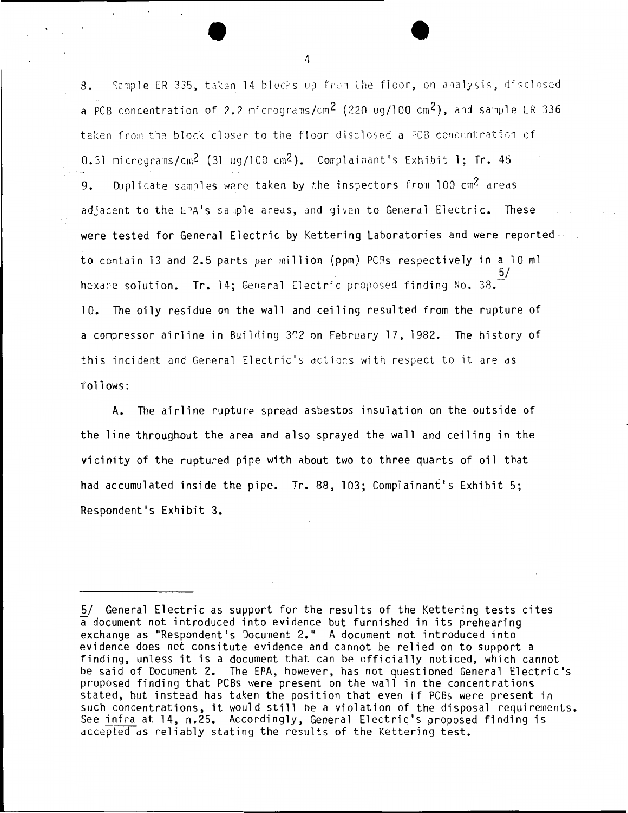8. Sample ER 335, taken 14 blocks up from the floor, on analysis, disclosed a PCB concentration of 2.2 micrograms/cm<sup>2</sup> (220 ug/100 cm<sup>2</sup>), and sample ER 336 taken from the block closer to the floor disclosed a PCB concentration of 0.31 micrograms/cm<sup>2</sup> (31 ug/100 cm<sup>2</sup>). Complainant's Exhibit 1: Tr. 45 9. Duplicate samples were taken by the inspectors from  $100 \text{ cm}^2$  areas adjacent to the EPA's sample areas, and given to General Electric. These were tested for General Electric by Kettering Laboratories and were reported to contain 13 and 2.5 parts per million (ppm) PCRs respectively in a 10 ml 5/ hexane solution. Tr. 14: General Electric proposed finding No. 38. 10. The oily residue on the wall and ceiling resulted from the rupture of a compressor airline in Building 302 on February 17,1982. The history of this incident and General Electric's actions with respect to it are as follows:

A. The airline rupture spread asbestos insulation on the outside of the line throughout the area and also sprayed the wall and ceiling in the vicinity of the ruptured pipe with about two to three quarts of oil that had accumulated inside the pipe. Tr. 88, 103; Complainant's Exhibit 5; Respondent's Exhibit 3.

<sup>5/</sup> General Electric as support for the results of the Kettering tests cites a document not introduced into evidence but furnished in its prehearing exchange as "Respondent's Document 2." A document not introduced into evidence does not consitute evidence and cannot be relied on to support a finding, unless it is a document that can be officially noticed, which cannot be said of Document 2. The EPA, however, has not questioned General Electric's proposed finding that PCBs were present on the wall in the concentrations stated, but instead has taken the position that even if PCBs were present in such concentrations, it would still be a violation of the disposal requirements. See infra at 14, n.25. Accordingly, General Electric's proposed finding is accepted as reliably stating the results of the Kettering test.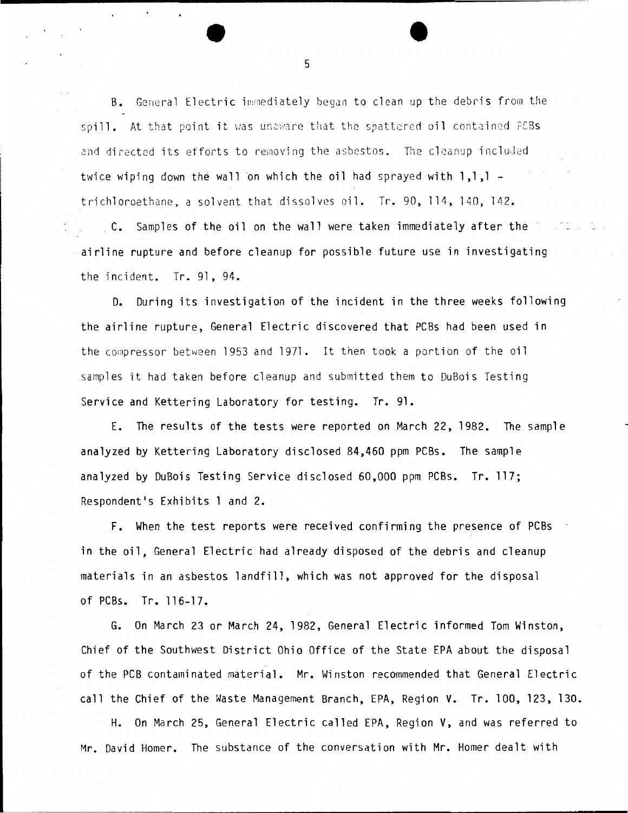B. General Electric immediately began to clean up the debris from the spill. At that point it was unaware that the spattered oil contained PCBs and directed its efforts to removing the asbestos. The cleanup included twice wiping down the wall on which the oil had sprayed with  $1,1,1$ trichloroethane, a solvent that di ssolves oil. Tr. 90, 114, 140, 142. C. Samples of the oil on the wall were taken immediately after the airline rupture and before cleanup for possible future use in investigating the incident. Tr. 91, 94.

D. During its investigation of the incident in the three weeks following the airline rupture, General Electric discovered that PCBs had been used in the compressor between 1953 and 1971. It then took a portion of the oil samples it had taken before cleanup and submitted them to DuBois Testing Service and Kettering Laboratory for testing. Tr. 91.

E. The results of the tests were reported on March 22, 1982. The sample analyzed by Kettering Laboratory disclosed 84,460 ppm PCBs. The sample analyzed by DuBois Testing Service disclosed 60,000 ppm PCBs. Tr. 117; Respondent•s Exhibits 1 and 2.

F. When the test reports were received confirming the presence of PCBs in the oil, General Electric had already disposed of the debris and cleanup materials in an asbestos landfill, which was not approved for the disposal of PCBs. Tr. 116-17.

G. On March 23 or March 24, 1982, General Electric informed Tom Winston, Chief of the Southwest District Ohio Office of the State EPA about the disposal of the PCB contaminated material. Mr. Winston recommended that General Electric call the Chief of the Waste Management Branch, EPA, Region V. Tr. 100, 123, 130.

H. On March 25, General Electric called EPA, Region V, and was referred to Mr. David Homer. The substance of the conversation with Mr. Homer dealt with

5

•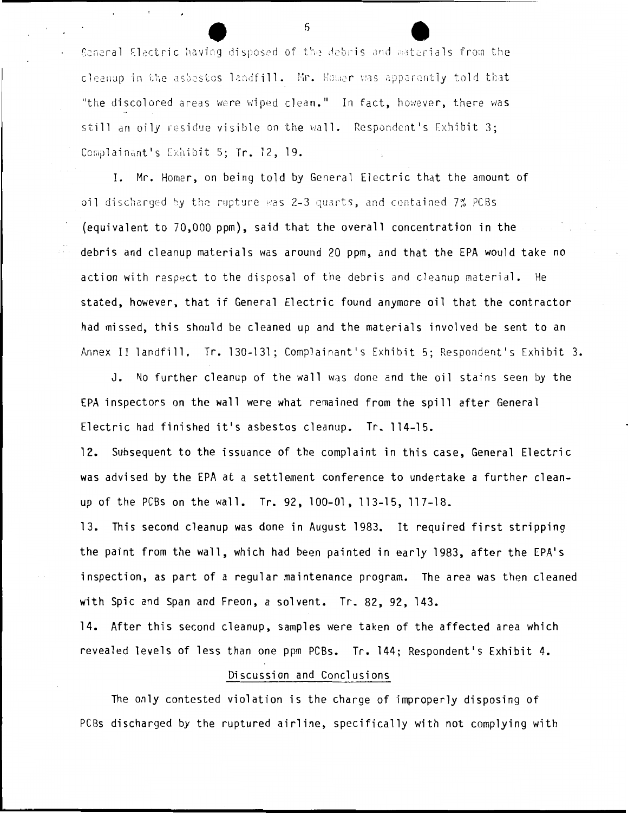General Electric having disposed of the debris and materials from the cleanup in the asbestos landfill. Mr. Homer was apparently told that "the discolored areas were wiped clean." In fact, however, there was still an oily residue visible on the wall. Respondent's Exhibit 3; Complainant's Exhibit 5; Tr. 12, 19.

 $\sim$ 

I. Mr. Homer, on being told by General Electric that the amount of oil discharged by the rupture was 2-3 quarts, and contained 7% PCBs (equivalent to 70,000 ppm}, said that the overall concentration in the debris and cleanup materials was around 20 ppm, and that the EPA would take no action with respect to the disposal of the debris and cleanup material. He stated, however, that if General Electric found anymore oil that the contractor had missed, this should be cleaned up and the materials involved be sent to an Annex II landfill. Tr. 130-131; Complainant's Exhibit 5; Respondent's Exhibit 3.

J. No further cleanup of the wall was done and the oil stains seen by the EPA inspectors on the wall were what remained from the spill after General Electric had finished it's asbestos cleanup. Tr. 114-15.

12. Subsequent to the issuance of the complaint in this case, General Electric was advised by the EPA at a settlement conference to undertake a further cleanup of the PCBs on the wall. Tr. 92,100-01,113-15,117-18.

13. This second cleanup was done in August 1983. It required first stripping the paint from the wall, which had been painted in early 1983, after the EPA's inspection, as part of a regular maintenance program. The area was then cleaned with Spic and Span and Freon, a solvent. Tr. 82, 92, 143.

14. After this second cleanup, samples were taken of the affected area which revealed levels of less than one ppm PCBs. Tr. 144; Respondent's Exhibit 4.

### Discussion and Conclusions

The only contested violation is the charge of improperly disposing of PCBs discharged by the ruptured airline, specifically with not complying with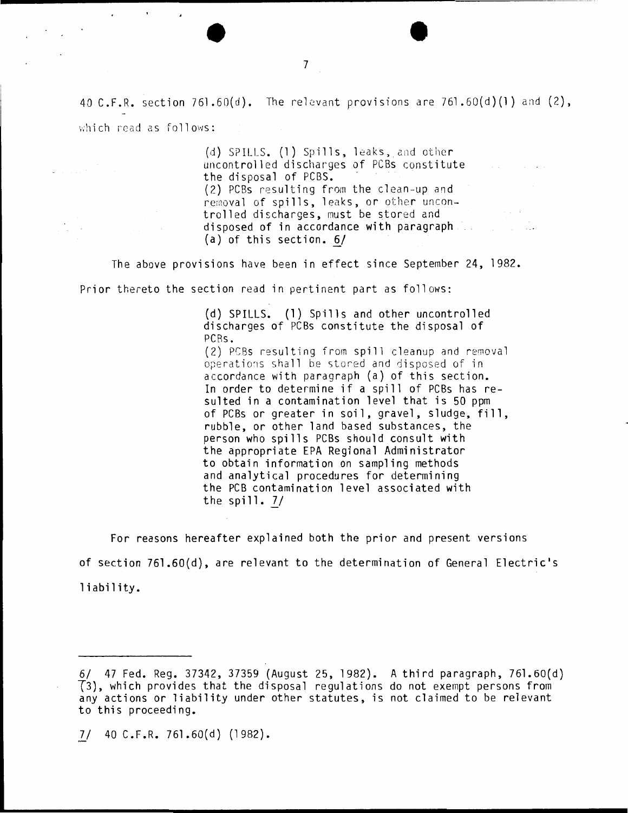40 C.F.R. section 761.60(d). The relevant provisions are 761.60(d)(1) and  $(2)$ , which read as follows:

> (d) SPILLS. (1) Spills, leaks, and other uncontrolled discharges of PCBs constitute the dis posal of PCBS. (2) PCBs resulting from the clean-up and removal of spills, leaks, or other uncontrolled discharges, must be stored and disposed of in accordance with paragraph  $(a)$  of this section.  $6/$

ng Ti

The above provisions have been in effect since September 24, 1982.

Prior thereto the section read in pertinent part as follows:

(d) SPILLS. (1) Spills and other uncontrolled discharges of PCBs constitute the disposal of PCRs. (2) PCBs resulting from spill cleanup and removal operations shall be stored and disposed of in accordance with paragraph (a) of this section. In order to determine if a spill of PCBs has resulted in a contamination level that is 50 ppm of PCBs or greater in soil, gravel, sludge, fill, rubble, or other land based substances, the person who spills PCBs should consult with the appropriate EPA Regional Administrator to obtain information on sampling methods and analytical procedures for determining the PCB contamination level associated with the spill.  $7/$ 

For reasons hereafter explained both the prior and present versions of section 761.60 $(d)$ , are relevant to the determination of General Electric's liability.

*]\_/* 40 C.F.R. 761.60(d) (1982).

•

 $\cdot$ 

 $\mathbf{r}$ 

<sup>6/ 47</sup> Fed. Reg. 37342, 37359 (August 25, 1982). A third paragraph, 761.60(d) T3), which provides that the disposal regulations do not exempt persons from any actions or liability under other statutes, is not claimed to be relevant to this proceeding.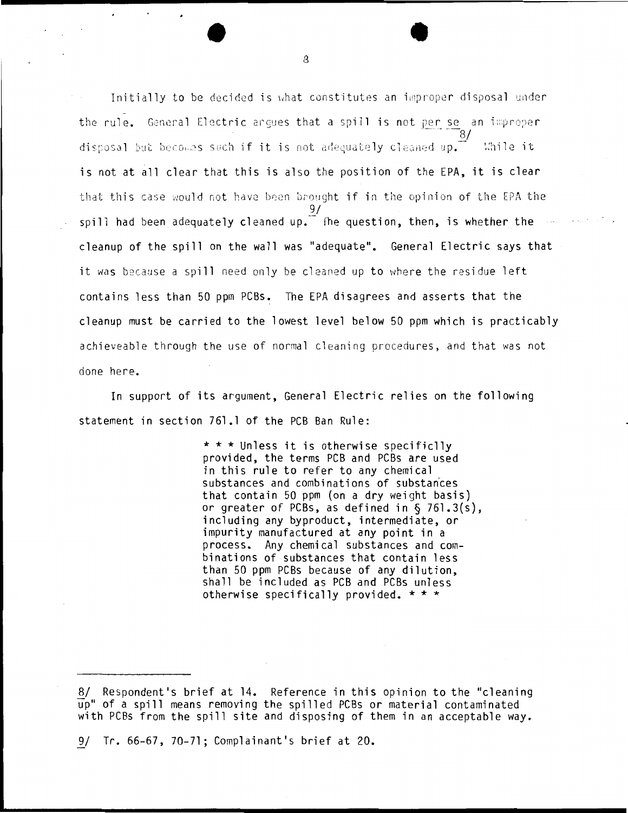Initially to be decided is what constitutes an improper disposal under the rule. General Electric argues that a spill is not per se an improper disposal but becomes such if it is not adequately cleaned up.  $\tilde{a}$  while it is not at all clear that this is also the position of the EPA, it is clear that this case would not have been brought if in the opinion of the EPA the 9/ spill had been adequately cleaned up.  $\tilde{}$  fhe question, then, is whether the cleanup of the spill on the wall was "adequate". General Electric says that it was because a spill need only be cleaned up to where the residue left contains less than 50 ppm PCBs. The EPA disagrees and asserts that the cleanup must be carried to the lowest level below 50 ppm which is practicably achieveable through the use of normal cleaning procedures, and that was not done here.

In support of its argument, General Electric relies on the following statement in section 761.1 of the PCB Ban Rule:

> \*\*\*Unless it is otherwise specificlly provided, the terms PCB and PCBs are used in this rule to refer to any chemical substances and combinations of substances that contain 50 ppm (on a dry weight basis) or greater of PCBs, as defined in  $\S$  761.3(s), including any byproduct, intermediate, or impurity manufactured at any point in a process. Any chemical substances and combinations of substances that contain less than 50 ppm PCBs because of any dilution, shall be included as PCB and PCBs unless otherwise specifically provided. \* \* \*

9/ Tr. 66-67, 70-71; Complainant's brief at 20.

<sup>8/</sup> Respondent's brief at 14. Reference in this opinion to the "cleaning up" of a spill means removing the spilled PCBs or material contaminated with PCBs from the spill site and disposing of them in an acceptable way.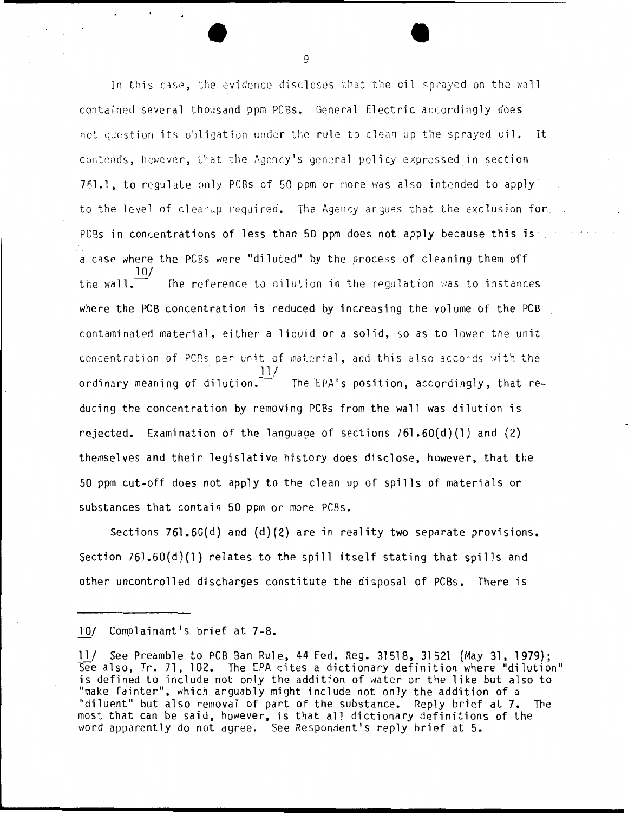In this case, the evidence discloses that the oil sprayed on the wall contained several thousand ppm PCBs. General Electric accordingly does not question its obligation under the rule to clean up the sprayed oil. It contends, however, that the Agency's general policy expressed in section 761.1, to regul ate only PCBs of 50 ppm or more was also intended to apply to the level of cleanup required. The Agency arques that the exclusion for. PCBs in concentrations of less than 50 ppm does not apply because this is . a case where the PCBs were "diluted" by the process of cleaning them off · 10/ the wall. The reference to dilution in the regulation was to instances where the PCB concentration is reduced by increasing the volume of the PCB cont aminated material, either a liquid or a solid, so as to lower the unit concentration of PCBs per unit of material, and this also accords with the 11/ ordinary meaning of dilution.  $\overline{\phantom{a}}$  The EPA's position, accordingly, that reducing the concentration by removing PCBs from the wall was dilution is rejected. Examination of the language of sections  $761.60(d)(1)$  and  $(2)$ themselves and their legislative history does disclose, however, that the 50 ppm cut-off does not apply to the clean up of spills of materials or substances that contain 50 ppm or more PCBs.

Sections 761.60(d) and (d)(2) are in reality two separate provisions. Section 761.60(d)(l) relates to the spill itself stating that spills and other uncontrolled discharges constitute the disposal of PCBs. There is

<sup>10/</sup> Complainant's brief at 7-8.

<sup>11/</sup> See Preamble to PCB Ban Rule, 44 Fed. Reg. 31518, 31521 (May 31, 1979); See also, Tr. 71, 102. The EPA cites a dictionary definition where "dilution" is defined to include not only the addition of water or the like but also to "make fainter", which arguably might include not only the addition of a "diluent" but also removal of part of the substance. Reply brief at 7. The most that can be said, however, is that all dictionary definitions of the word apparently do not agree. See Respondent's reply brief at 5.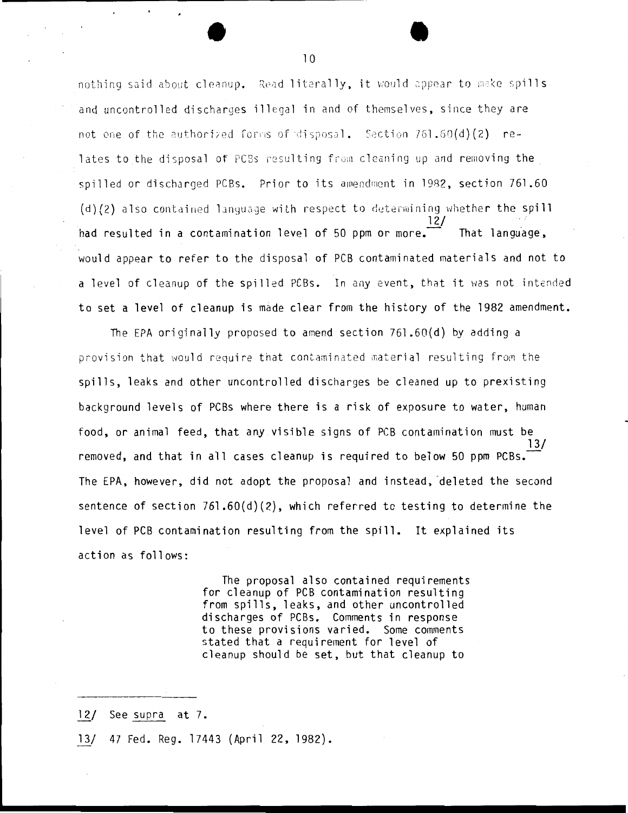nothing said about cleanup. Read literally, it would appear to make spills and uncontrolled discharges illegal in and of themselves, since they are not one of the authorized forms of disposal. Section 761.60(d)(2) relates to the disposal of PCBs resulting from cleaning up and removing the spilled or discharged PCBs. Prior to its amendment in 1982, section 761.60 (d)(2) also contained language with respect to determining whether the spill had resulted in a contamination level of 50 ppm or more. That language. would appear to refer to the disposal of PCB contaminated materials and not to a level of cleanup of the spilled PCBs. In any event, that it was not intended to set a level of cleanup is made clear from the history of the 1982 amendment.

The EPA originally proposed to amend section  $761.60(d)$  by adding a provision that would require that contaminated material resulting from the spills, leaks and other uncontrolled discharges be cleaned up to prexisting background levels of PCBs where there is a risk of exposure to water, human food, or animal feed, that any visible signs of PCB contamination must be removed, and that in all cases cleanup is required to below 50 ppm PCBs. The EPA, however, did not adopt the proposal and instead, deleted the second sentence of section  $761.60(d)(2)$ , which referred to testing to determine the level of PCB contamination resulting from the spill. It explained its action as follows:

> The proposal also contained requirements for cleanup of PCB contamination resulting from spills, leaks, and other uncontrolled discharges of PCBs. Comments in response to these provisions varied. Some comments stated that a requirement for level of cleanup should be set, but that cleanup to

- 12/ See supra at 7.
- $13/$ 47 Fed. Reg. 17443 (April 22, 1982).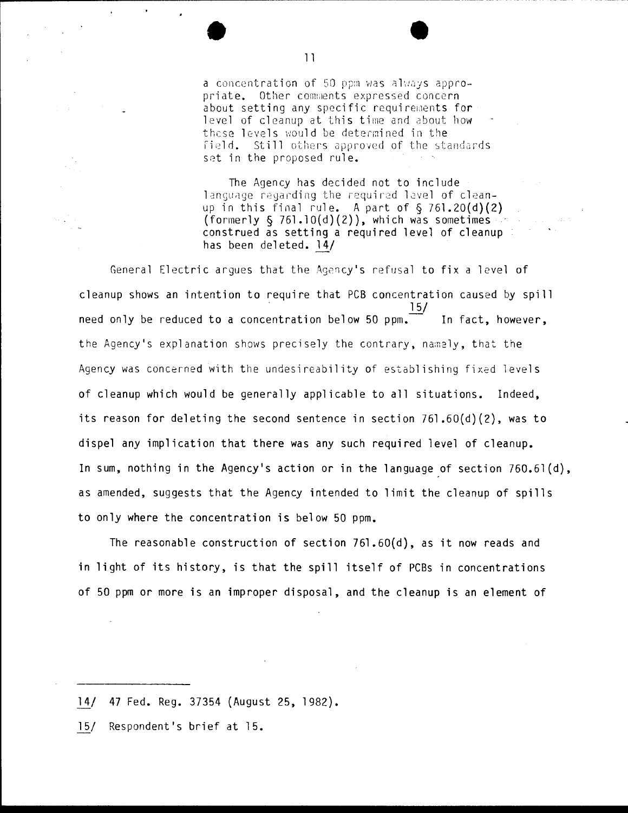a concentration of 50 ppm was always appropriate. Other comments expressed concern about setting any specific requirements for level of cleanup at this time and about how these levels would be determined in the  $field.$  Still others approved of the standards set in the proposed rule.

The Agency has decided not to include language regarding the required level of cleanup in this final rule. A part of  $\S$  761.20(d)(2) (formerly  $\S$  76l.10(d)(2)), which was sometimes construed as setting a required level of cleanup has been deleted. 14/

General Electric argues that the Agency's refusal to fix a level of cleanup shows an intention to require that PCB concentration caused by spill  $15/$ need only be reduced to a concentration below 50 ppm.  $\overline{\phantom{a}}$  In fact, however, the Agency's explanation shows precisely the contrary, namely, that the Agency was concerned with the undesireability of establishing fixed levels of cleanup which would be generally applicable to all situations. Indeed, its reason for deleting the second sentence in section  $761.60(d)(2)$ , was to dispel any implication that there was any such required level of cleanup. In sum, nothing in the Agency's action or in the language of section 760.61 (d), as amended, suggests that the Agency intended to limit the cleanup of spills to only where the concentration is below 50 ppm.

The reasonable construction of section  $761.60(d)$ , as it now reads and in light of its history, is that the spill itself of PCBs in concentrations of 50 ppm or more is an improper disposal, and the cleanup is an element of

- *lil* 47 Fed. Reg. 37354 (August 25, 1982).
- 15/ Respondent's brief at 15.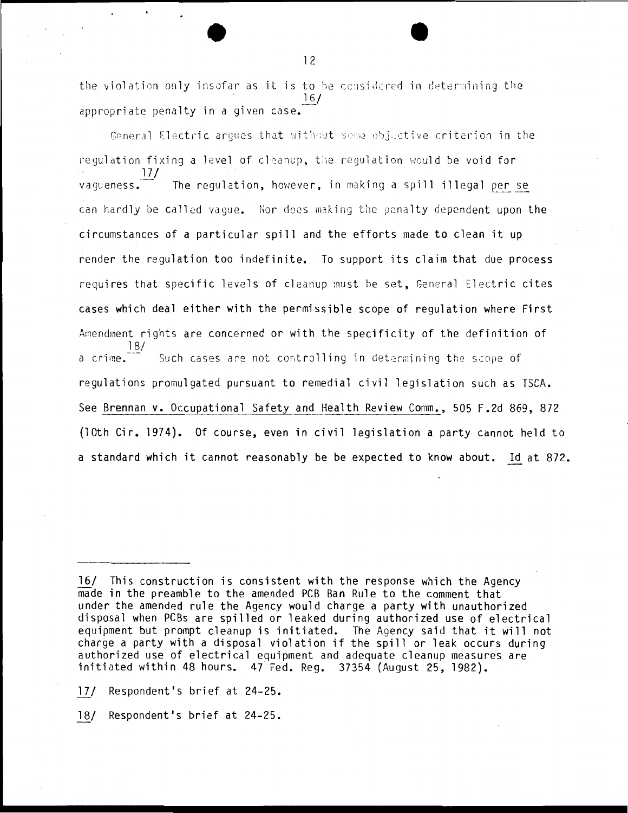the violation only insofar as it is to be considered in determining the 16/ appropriate penalty in a given case.

General Electric argues that without seme objective criterion in the regulation fixing a level of cleanup, the regulation would be void for *JJ\_f*  The regulation, however, in making a spill illegal per se can hardly be called vague. Nor does making the penalty dependent upon the circumstances of a particular spill and the efforts made to clean it up render the regulation too indefinite. To support its claim that due process requires that specific levels of cleanup must be set, General Electric cites cases which deal either with the permissible scope of regulation where First Amendment rights are concerned or with the specificity of the definition of 18/ a crime. $\overline{ }$  Such cases are not controlling in determining the scope of regulations promulgated pursuant to remedial civil legislation such as TSCA. See Brennan v. Occupational Safety and Health Review Comm., 505 F.2d 869, 872 (lOth Cir. 1974). Of course, even in civil legislation a party cannot held to a standard which it cannot reasonably be be expected to know about. Id at 872.

18/ Respondent's brief at 24-25.

<sup>16/</sup> This construction is consistent with the response which the Agency made in the preamble to the amended PCB Ban Rule to the comment that under the amended rule the Agency would charge a party with unauthorized disposal when PCBs are spilled or leaked during authorized use of electrical equipment but prompt cleanup is initiated. The Agency said that it will not charge a party with a disposal violation if the spill or leak occurs during authorized use of electrical equipment and adequate cleanup measures are initiated within 48 hours. 47 Fed. Reg. 37354 (August 25, 1982).

<sup>17/</sup> Respondent's brief at 24-25.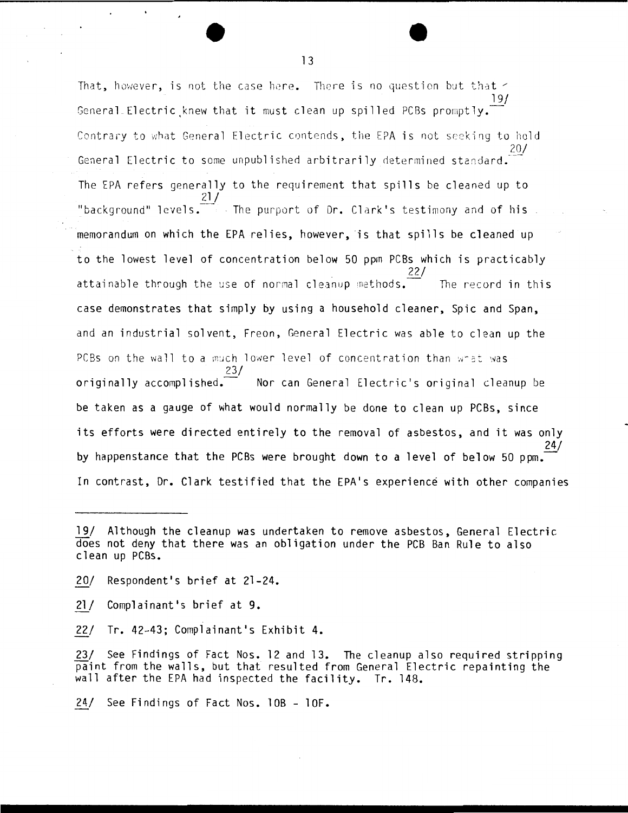That, however, is not the case here. There is no question but that  $\leq$ 19/ General Electric knew that it must clean up spilled PCBs promptly. Contrary to what General Electric contends, the EPA is not seeking to hold 20/ General Electric to some unpublished arbitrarily determined standard. The EPA refers generally to the requirement that spills be cleaned up to  $21/$ "background" levels. The purport of Dr. Clark's testimony and of his memorandum on which the EPA relies, however, is that spills be cleaned up to the lowest level of concentration below 50 ppm PCBs which is practicably 22/ attainable through the use of normal cleanup methods. The record in this case demonstrates that simply by using a household cleaner, Spic and Span, and an industrial solvent, Freon, General Electric was able to clean up the PCBs on the wall to a much lower level of concentration than what was 23/ originally accomplished.<sup>---</sup> Nor can General Electric's original cleanup be be taken as a gauge of what would normally be done to clean up PCBs, since its efforts were directed entirely to the removal of asbestos, and it was only 24/ by happenstance that the PCBs were brought down to a level of below 50 ppm. In contrast, Dr. Clark testified that the EPA's experience with other companies

21/ Complainant's brief at 9.

22/ Tr. 42-43; Complainant's Exhibit 4.

23/ See Findings of Fact Nos. 12 and 13. The cleanup also required stripping paint from the walls, but that resulted from General Electric repainting the wall after the EPA had inspected the facility. Tr. 148.

24/ See Findings of Fact Nos. 10B - 10F.

<sup>19/</sup> Although the cleanup was undertaken to remove asbestos, General Electric does not deny that there was an obligation under the PCB Ban Rule to also clean up PCBs.

<sup>20/</sup> Respondent's brief at 21-24.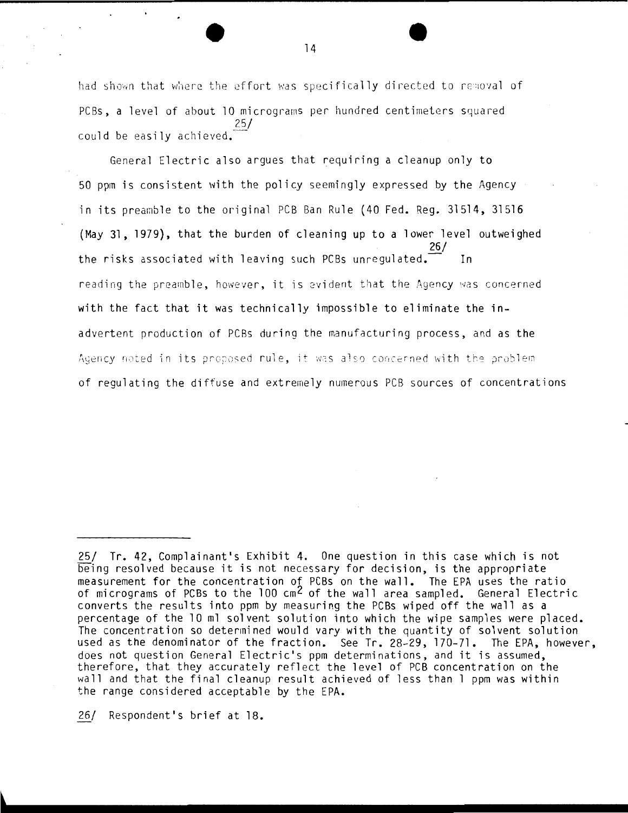had shown that where the effort was specifically directed to removal of PCBs, a level of about 10 micrograms per hundred centimeters squared  $25/$ could be easily achieved.

General Electric also argues that requiring a cleanup only to 50 ppm is consistent with the policy seemingly expressed by the Agency in its preamble to the original PCB Ban Rule (40 Fed. Req. 31514, 31516 (May 31, 1979), that the burden of cleaning up to a lower level outweighed the risks associated with leaving such PCBs unregulated. reading the preamble, however, it is evident that the Agency was concerned with the fact that it was technically impossible to eliminate the inadvertent production of PCBs during the manufacturing process, and as the Adency noted in its proposed rule, it was also concerned with the problem of regulating the diffuse and extremely numerous PCB sources of concentrations

26/ Respondent's brief at 18.

<sup>25/</sup> Tr. 42, Complainant's Exhibit 4. One question in this case which is not being resolved because it is not necessary for decision, is the appropriate measurement for the concentration of PCBs on the wall. The EPA uses the ratio of micrograms of PCBs to the 100 cm<sup>2</sup> of the wall area sampled. General Electric converts the results into ppm by measuring the PCBs wiped off the wall as a percentage of the 10 ml solvent solution into which the wipe samples were placed. The concentration so determined would vary with the quantity of solvent solution used as the denominator of the fraction. See Tr. 28-29, 170-71. The EPA, however, does not question General Electric's ppm determinations, and it is assumed, therefore, that they accurately reflect the level of PCB concentration on the wall and that the final cleanup result achieved of less than I ppm was within the range considered acceptable by the EPA.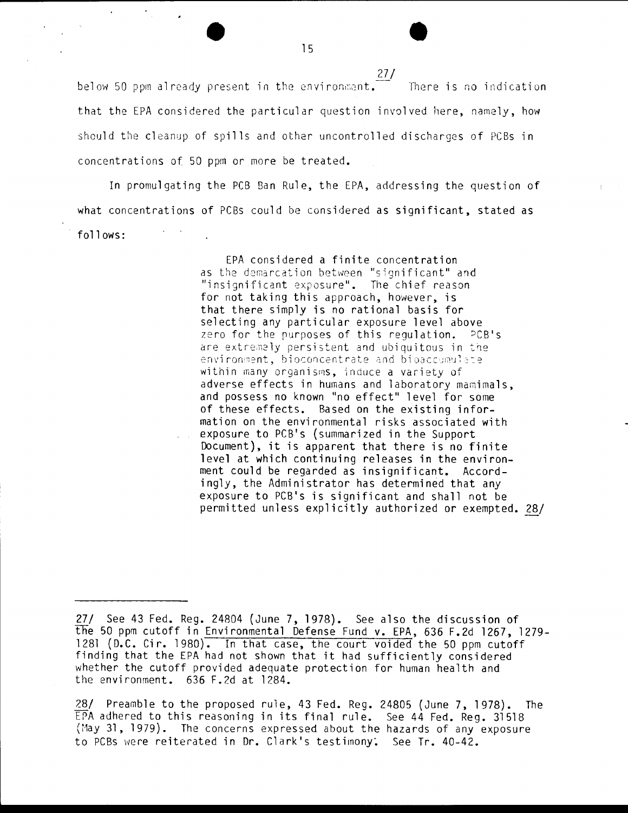*]]\_!*  below 50 ppm already present in the environment. There is no indication that the EPA considered the particular question involved here, namely, how should the cleanup of spills and other uncontrolled discharges of PCBs in concentrations of 50 ppm or more be treated.

In promulgating the PCB Ban Rule, the EPA, addressing the question of what concentrations of PCBs could be considered as significant, stated as follows:

> EPA considered a finite concentration as the demarcation between "significant" and "insignificant exposure". The chief reason for not taking this approach, however, is that there simply is no rational basis for selecting any particular exposure level above zero for the purposes of this regulation.  $PCB'S$ are extremely persistent and ubiquitous in the environment, bioconcentrate and bioaccumulate within many organisms, induce a variety of adverse effects in humans and laboratory mamimals, and possess no known "no effect" level for some of these effects. Based on the existing information on the environmental risks associated with exposure to PCB's (summarized in the Support Document}, it is apparent that there is no finite level at which continuing releases in the environment could be regarded as insignificant. Accordingly, the Administrator has determined that any exposure to PCB's is significant and shall not be permitted unless explicitly authorized or exempted. 28/

<sup>27/</sup> See 43 Fed. Reg. 24804 (June 7, 1978}. See also the discussion of the 50 ppm cutoff in Environmental Defense Fund v. EPA, 636 F.2d 1267, 1279- 1281 (D.C. Cir. 1980). In that case, the court voided the 50 ppm cutoff finding that the EPA had not shown that it had sufficiently considered whether the cutoff provided adequate protection for human health and the environment. 636 F.2d at 1284.

<sup>28/</sup> Preamble to the proposed rule, 43 Fed. Reg. 24805 (June 7, 1978). The EPA adhered to this reasoning in its final rule. See 44 Fed. Reg. 31518 (May 31, 1979). The concerns expressed about the hazards of any exposure to PCBs were reiterated in Dr. Clark's testimony: See Tr. 40-42.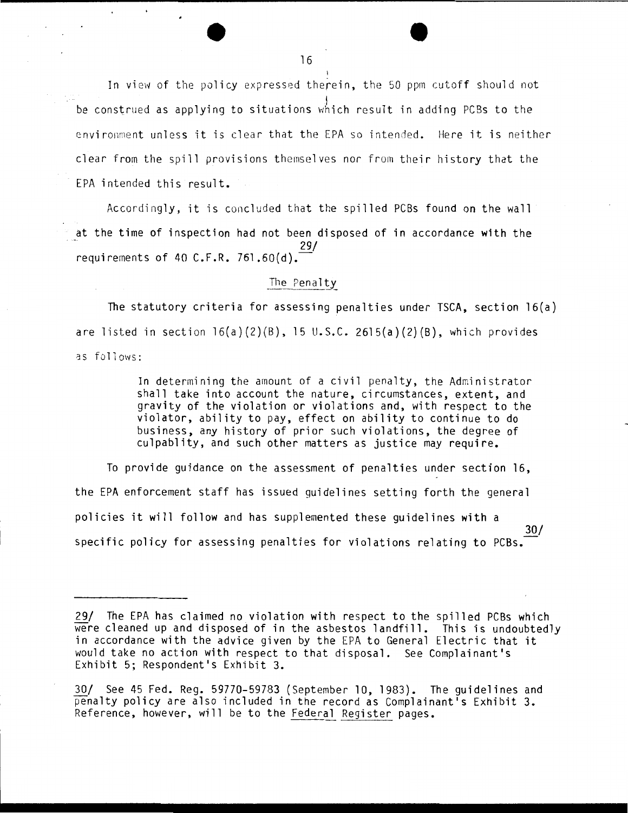In view of the policy expressed therein, the 50 ppm cutoff should not be construed as applying to situations which result in adding PCBs to the environment unless it is clear that the EPA so intended. Here it is neither clear from the spill provisions themselves nor from their history that the FPA intended this result.

Accordingly, it is concluded that the spilled PCBs found on the wall at the time of inspection had not been disposed of in accordance with the requirements of 40 C.F.R. 761.60(d).<sup>29/</sup>

#### The Penalty

The statutory criteria for assessing penalties under TSCA, section  $16(a)$ are listed in section  $16(a)(2)(B)$ , 15 U.S.C. 2615(a)(2)(B), which provides as follows:

> In determining the amount of a civil penalty, the Administrator shall take into account the nature, circumstances, extent, and gravity of the violation or violations and, with respect to the violator, ability to pay, effect on ability to continue to do business, any history of prior such violations, the degree of culpablity, and such other matters as justice may require.

To provide quidance on the assessment of penalties under section 16, the EPA enforcement staff has issued guidelines setting forth the general policies it will follow and has supplemented these quidelines with a  $30/$ specific policy for assessing penalties for violations relating to PCBs.

<sup>29/</sup> The EPA has claimed no violation with respect to the spilled PCBs which were cleaned up and disposed of in the asbestos landfill. This is undoubtedly in accordance with the advice given by the EPA to General Electric that it would take no action with respect to that disposal. See Complainant's Exhibit 5: Respondent's Exhibit 3.

<sup>30/</sup> See 45 Fed. Reg. 59770-59783 (September 10, 1983). The guidelines and penalty policy are also included in the record as Complainant's Exhibit 3. Reference, however, will be to the Federal Register pages.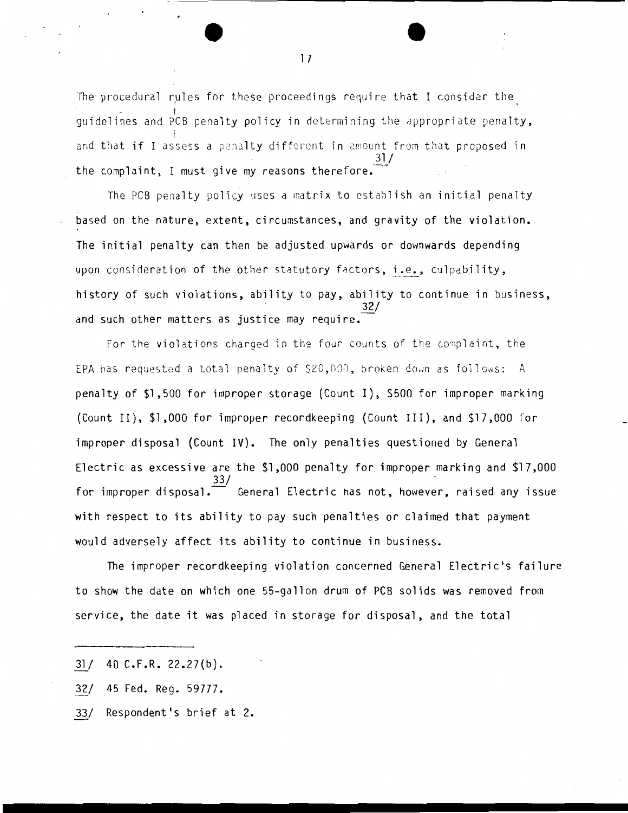The procedural rules for these proceedings require that I consider the quidelines and PCB penalty policy in determining the appropriate penalty, and that if I assess a penalty different in amount from that proposed in  $31/$ the complaint, I must give my reasons therefore.

The PCB penalty policy uses a matrix to establish an initial penalty based on the nature, extent, circumstances, and gravity of the violation. The initial penalty can then be adjusted upwards or downwards depending upon consideration of the other statutory factors, i.e., culpability, history of such violations, ability to pay, ability to continue in business, 32/ and such other matters as justice may require.

For the violations charged in the four counts of the complaint, the EPA has requested a total penalty of  $$20,000$ , broken down as follows: A penalty of \$1,500 for improper storage (Count I), \$500 for improper marking (Count II), \$1,000 for improper recordkeeping (Count III), and \$17,000 for improper disposal (Count IV). The only penalties questioned by General Electric as excessive are the \$1,000 penalty for improper marking and \$17,000 33/ for improper disposal.  $-$  General Electric has not, however, raised any issue with respect to its ability to pay such penalties or claimed that payment would adversely affect its ability to continue in business.

The improper recordkeeping violation concerned General Electric's failure to show the date on which one 55-gallon drum of PCB solids was removed from service, the date it was placed in storage for disposal, and the total

33/ Respondent's brief at 2.

 $31/40$  C.F.R. 22.27(b).

<sup>32/ 45</sup> Fed. Reg. 59777.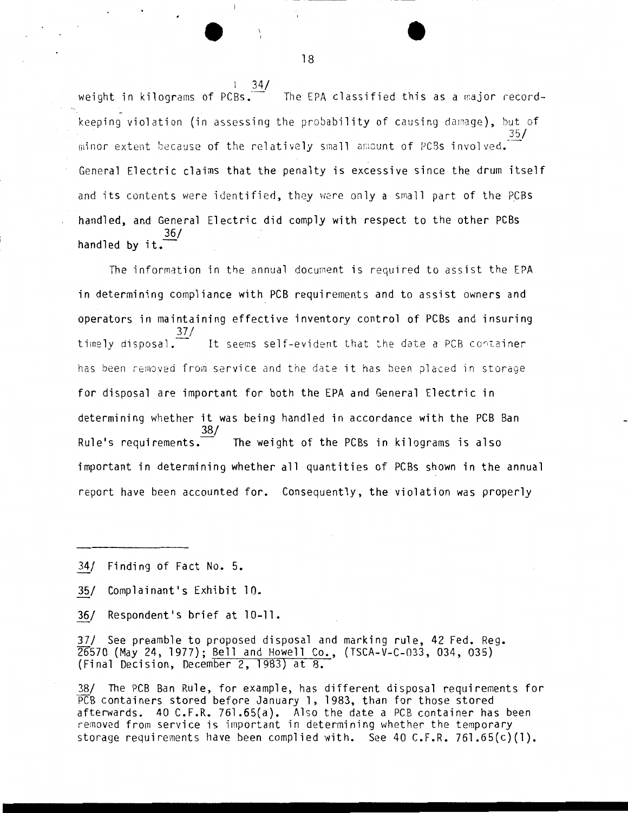weight in kilograms of  $PCBs$ . The EPA classified this as a major recordkeeping violation (in assessing the probability of causing damage), but of 35/ minor extent because of the relatively small amount of PCBs involved. General Electric claims that the penalty is excessive since the drum itself and its contents were identified, they were only a small part of the PCBs handled, and General Electric did comply with respect to the other PCBS handled by it.<sup>36/</sup>

The information in the annual document is required to assist the EPA in determining compliance with PCB requirements and to assist owners and operators in maintaining effective inventory control of PCBs and insuring timely disposal.  $\frac{37}{ }$ It seems self-evident that the date a PCB container has been removed from service and the date it has been placed in storage for disposal are important for both the EPA and General Electric in determining whether it was being handled in accordance with the PCB Ban 38/ Rule's requirements.  $\overline{z}$  The weight of the PCBs in kilograms is also important in determining whether all quantities of PCBs shown in the annual report have been accounted for. Consequently, the violation was properly

- 34/ Finding of Fact No. 5.
- 35/ Complainant's Exhibit 10.
- 36/ Respondent's brief at 10-11.

37/ See preamble to proposed disposal and marking rule, 42 Fed. Reg. 26570 (May 24, 1977); Bell and Howell Co., (TSCA-V-C-033, 034, 035) (Final Decision, December 2, 1983) at 8.

38/ The PCB Ban Rule, for example, has different disposal requirements for PCB containers stored before January 1, 1983, than for those stored afterwards. 40 C.F.R. 761.65(a). Also the date a PCB container has been removed from service is important in determining whether the temporary storage requirements have been complied with. See 40 C.F.R. 761.65 $(c)(1)$ .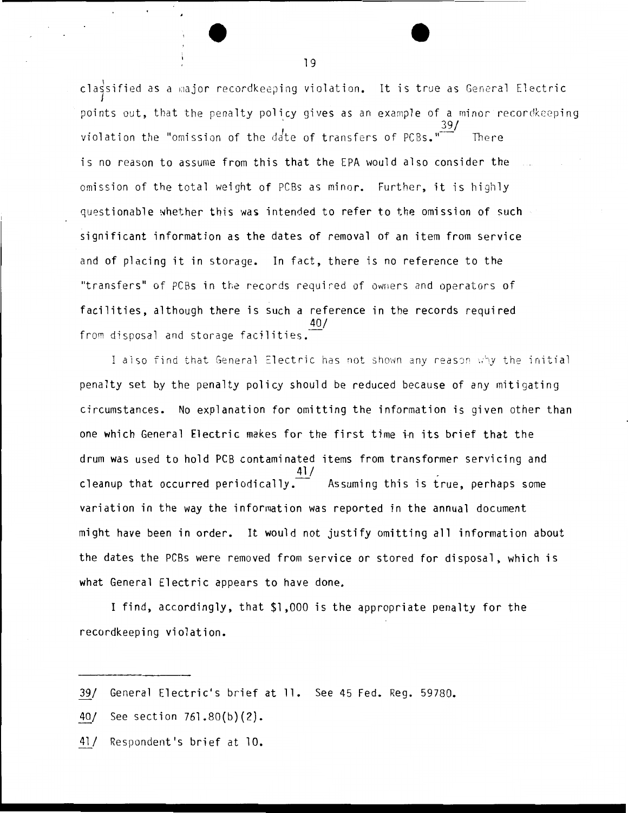cla $\frac{1}{3}$ sified as a major recordkeeping violation. It is true as General Electric points out, that the penalty policy gives as an example of a minor recordkeeping 39/ violation the "omission of the d $\det$  of transfers of PCBs." $\quad$  - There is no reason to assume from this that the EPA would also consider the omission of the total weight of PCBs as minor. Further, it is highly questionable whether this was intended to refer to the omission of such  $\sim$ significant information as the dates of removal of an item from service and of placing it in storage. In fact, there is no reference to the "transfers" of PCBs in the records required of owners and operators of facilities, although there is such a reference in the records required 40/ from disposal and storage facilities.

I also find that General Electric has not shown any reason why the initial penalty set by the penalty policy should be reduced because of any mitigating circumstances. No explanation for omitting the information is given other than one which General Electric makes for the first time in its brief that the drum was used to hold PCB contaminated items from transformer servicing and  $41/$ cleanup that occurred periodically.  $\overline{\phantom{a}}$  Assuming this is true, perhaps some variation in the way the information was reported in the annual document might have been in order. It would not justify omitting all information about the dates the PCBs were removed from service or stored for disposal, which is what General Electric appears to have done.

I find, accordingly, that \$1,000 is the appropriate penalty for the recordkeeping violation.

*l11* General Electric's brief at 11. See 45 Fed. Reg. 59780.

<sup>40/</sup> See section 76l.80(b)(2).

<sup>41/</sup> Respondent's brief at 10.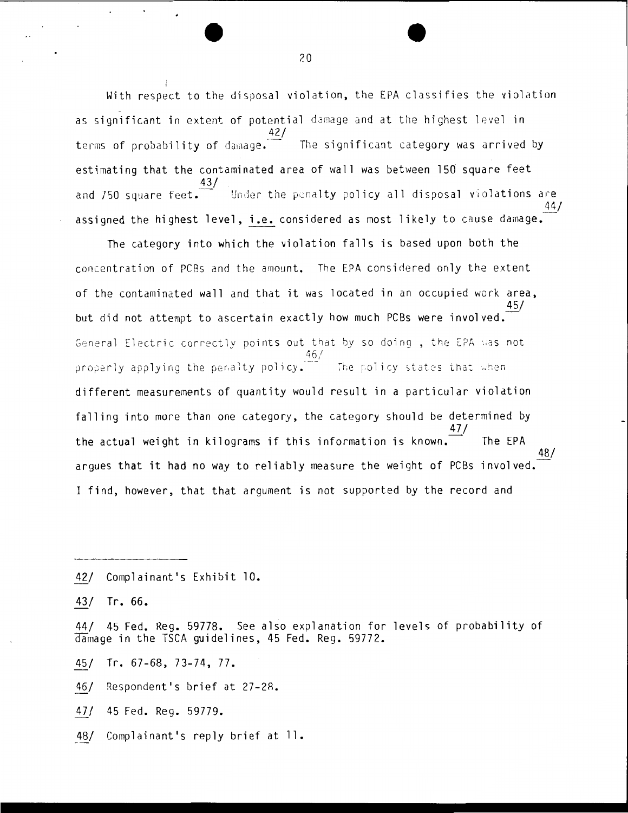With respect to the disposal violation, the EPA classifies the violation as significant in extent of potential damage and at the highest level in  $42/$ The significant category was arrived by terms of probability of damage. estimating that the contaminated area of wall was between 150 square feet .<br>Under the penalty policy all disposal violations are and 750 square feet. assigned the highest level, i.e. considered as most likely to cause damage.

The category into which the violation falls is based upon both the concentration of PCBs and the amount. The EPA considered only the extent of the contaminated wall and that it was located in an occupied work area. 45/ but did not attempt to ascertain exactly how much PCBs were involved. General Electric correctly points out that by so doing, the EPA was not properly applying the penalty policy. The policy states that when different measurements of quantity would result in a particular violation falling into more than one category, the category should be determined by the actual weight in kilograms if this information is known. The EPA arques that it had no way to reliably measure the weight of PCBs involved. I find, however, that that argument is not supported by the record and

Complainant's Exhibit 10.  $42/$ 

 $43/$  $Tr.66.$ 

45 Fed. Reg. 59778. See also explanation for levels of probability of  $44/$ damage in the TSCA guidelines, 45 Fed. Reg. 59772.

Tr.  $67-68$ ,  $73-74$ ,  $77$ . 45/

Respondent's brief at 27-28. 46/

 $47/$ 45 Fed. Reg. 59779.

Complainant's reply brief at ll. 48/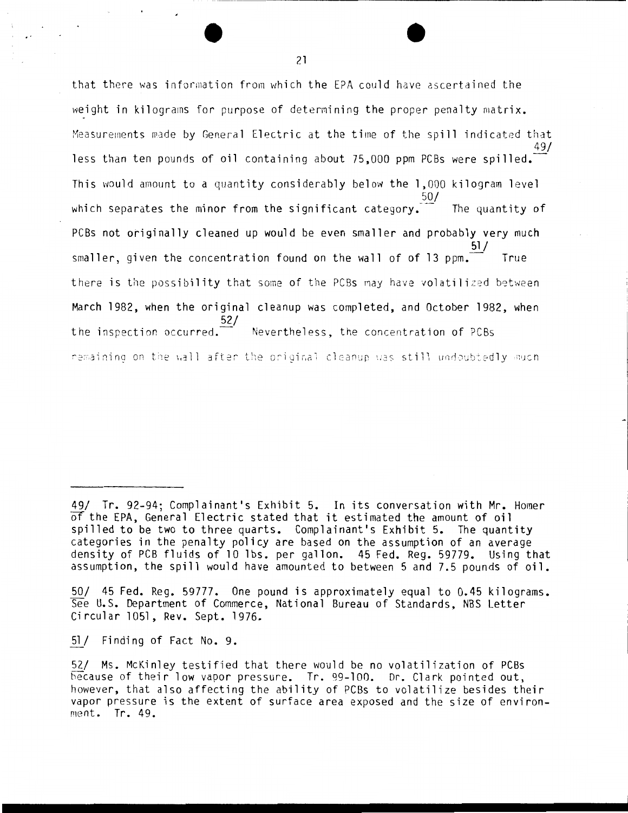that there was information from which the EPA could have ascertained the weight in kilograms for purpose of determining the proper penalty matrix. Measurements made by General Electric at the time of the spill indicated that less than ten pounds of oil containing about 75,000 ppm PCBs were spilled. This would amount to a quantity considerably below the 1,000 kilogram level 50/ which separates the minor from the significant category. The quantity of PCBs not originally cleaned up would be even smaller and probably very much smaller, given the concentration found on the wall of of 13 ppm. True there is the possibility that some of the PCBs may have volatilized between March 1982, when the original cleanup was completed, and October 1982, when the inspection occurred. 52/ Nevertheless, the concentration of PCBs remaining on the wall after the original cleanup was still undoubtedly much

51/ Finding of Fact No. 9.

<sup>49/</sup> Tr. 92-94; Complainant's Exhibit 5. In its conversation with Mr. Homer of the EPA, General Electric stated that it estimated the amount of oil spilled to be two to three quarts. Complainant's Exhibit 5. The quantity categories in the penalty policy are based on the assumption of an average density of PCB fluids of 10 lbs. per gallon. 45 Fed. Reg. 59779. Using that assumption, the spill would have amounted to between 5 and 7.5 pounds of oil.

<sup>50/ 45</sup> Fed. Reg. 59777. One pound is approximately equal to 0.45 kilograms. See U.S. Department of Commerce, National Bureau of Standards, NBS Letter Circular 1051, Rev. Sept. 1976.

<sup>52/</sup> Ms. McKinley testified that there would be no volatilization of PCBs because of their low vapor pressure. Tr. 99-100. Dr. Clark pointed out, however, that also affecting the ability of PCBs to volatilize besides their vapor pressure is the extent of surface area exposed and the size of environment. Tr. 49.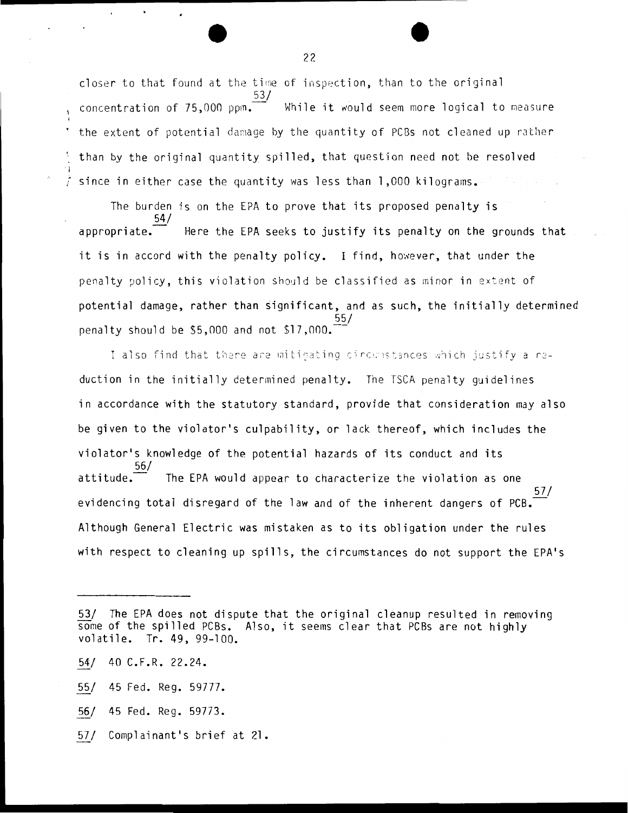closer to that found at the time of inspection, than to the original  $\frac{1}{2}$  concentration of 75,000 ppm. While it would seem more logical to measure the extent of potential damage by the quantity of PCBs not cleaned up rather than by the original quantity spilled, that question need not be resolved  $\dot{f}$  since in either case the quantity was less than 1,000 kilograms.

The burden is on the E?A to prove that its proposed penalty is 54/ appropriate.  $\overline{\phantom{a}}$  Here the EPA seeks to justify its penalty on the grounds that it is in accord with the penalty policy. I find, however, that under the penalty policy, this violation should be classified as minor in extent of potential damage, rather than significant, and as such, the initially determined 55/ penalty should be  $$5,000$  and not  $$17,000$ .

I also find that there are mitigating circumstances which justify a reduction in the initially determined penalty. The TSCA penalty guidelines in accordance with the statutory standard, provide that consideration may also be given to the violator's culpability, or lack thereof, which includes the violator's knowledge of the potential hazards of its conduct and its 56/  $attribute$ . The EPA would appear to characterize the violation as one 57/ evidencing total disregard of the law and of the inherent dangers of PCB. Although General Electric was mistaken as to its obligation under the rules with respect to cleaning up spills, the circumstances do not support the EPA's

- ~/ 45 Fed. Reg. 59773.
- 57/ Complainant's brief at 21.

*<sup>221</sup>* The EPA does not dispute that the original cleanup resulted in removing some of the spilled PCBs. Also, it seems clear that PCBs are not highly volatile. Tr. 49, 99-100.

<sup>54/ 40</sup> C.F.R. 22.24.

<sup>55/ 45</sup> Fed. Reg. 59777.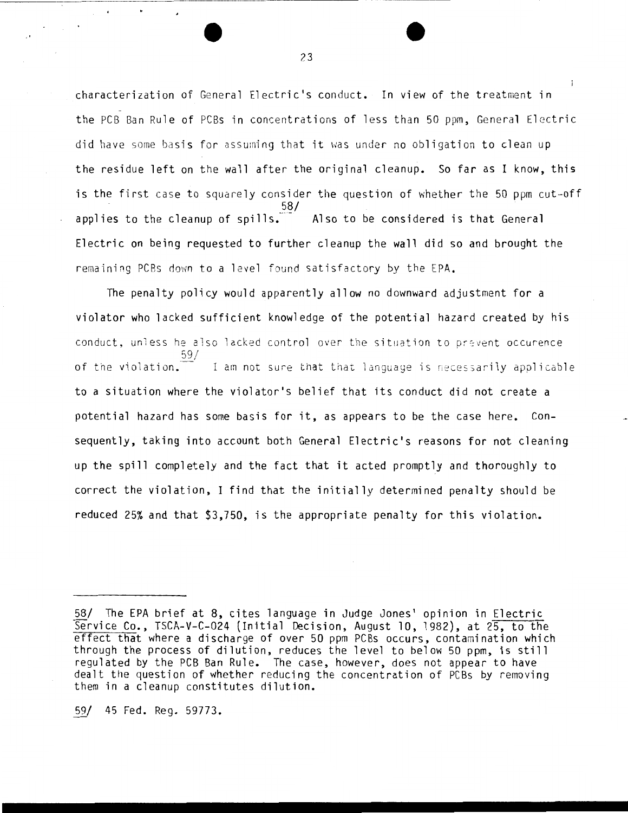characterization of General Electric's conduct. In view of the treatment in the PCB Ban Rule of PCBs in concentrations of less than 50 ppm, General Electric did have some basis for assuming that it was under no obligation to clean up the residue left on the wall after the original cleanup. So far as I know, this is the first case to squarely consider the question of whether the 50 ppm cut-off 58/ applies to the cleanup of spills.  $-$  - Also to be considered is that General Electric on being requested to further cleanup the wall did so and brought the remaining PCBs down to a level found satisfactory by the EPA.

The penalty policy would apparently allow no downward adjustment for a violator who lacked sufficient knowledge of the potential hazard created by his conduct, unless he also lacked control over the situation to prevent occurence 59/ of the violation.  $I$  am not sure that that language is necessarily applicable to a situation where the violator's belief that its conduct did not create a potential hazard has some basis for it, as appears to be the case here. Consequently, taking into account both General Electric's reasons for not cleaning up the spill completely and the fact that it acted promptly and thoroughly to correct the violation, I find that the initially determined penalty should be reduced 25% and that \$3,750, is the appropriate penalty for this violation.

59/ 45 Fed. Reg. 59773.

· '

<sup>58/</sup> The EPA brief at 8, cites language in Judge Jones' opinion in Electric service Co., TSCA-V-C-024 (Initial Decision, August 10, 1982), at 25, to the effect that where a discharge of over 50 ppm PCBs occurs, contamination which through the process of dilution, reduces the level to below 50 ppm, is still regulated by the PCB Ban Rule. The case, however, does not appear to have dealt the question of whether reducing the concentration of PCBs by removing them in a cleanup constitutes dilution.